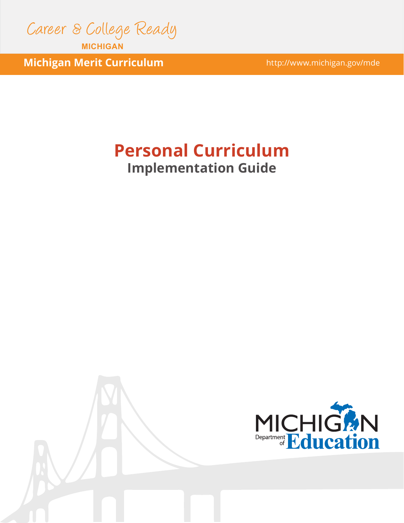

**MICHIGAN**

**Michigan Merit Curriculum Michigan.gov/mde** 

# **Personal Curriculum Implementation Guide**

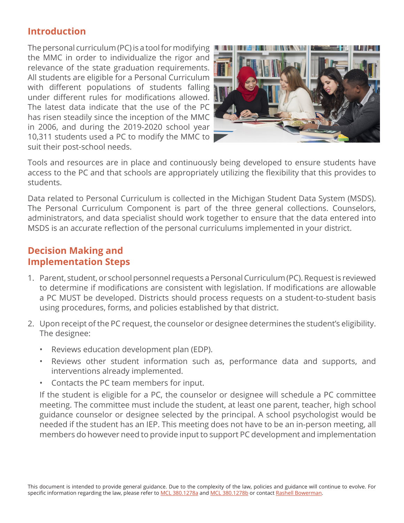## **Introduction**

The personal curriculum (PC) is a tool for modifying the MMC in order to individualize the rigor and relevance of the state graduation requirements. All students are eligible for a Personal Curriculum with different populations of students falling under different rules for modifications allowed. The latest data indicate that the use of the PC has risen steadily since the inception of the MMC in 2006, and during the 2019-2020 school year 10,311 students used a PC to modify the MMC to suit their post-school needs.



Tools and resources are in place and continuously being developed to ensure students have access to the PC and that schools are appropriately utilizing the flexibility that this provides to students.

Data related to Personal Curriculum is collected in the Michigan Student Data System (MSDS). The Personal Curriculum Component is part of the three general collections. Counselors, administrators, and data specialist should work together to ensure that the data entered into MSDS is an accurate reflection of the personal curriculums implemented in your district.

## **Decision Making and Implementation Steps**

- 1. Parent, student, or school personnel requests a Personal Curriculum (PC). Request is reviewed to determine if modifications are consistent with legislation. If modifications are allowable a PC MUST be developed. Districts should process requests on a student-to-student basis using procedures, forms, and policies established by that district.
- 2. Upon receipt of the PC request, the counselor or designee determines the student's eligibility. The designee:
	- Reviews education development plan (EDP).
	- Reviews other student information such as, performance data and supports, and interventions already implemented.
	- Contacts the PC team members for input.

If the student is eligible for a PC, the counselor or designee will schedule a PC committee meeting. The committee must include the student, at least one parent, teacher, high school guidance counselor or designee selected by the principal. A school psychologist would be needed if the student has an IEP. This meeting does not have to be an in-person meeting, all members do however need to provide input to support PC development and implementation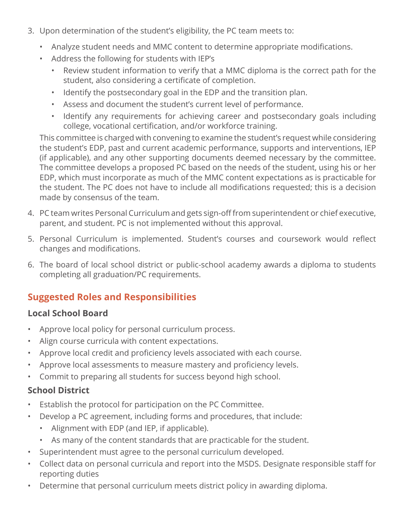- 3. Upon determination of the student's eligibility, the PC team meets to:
	- Analyze student needs and MMC content to determine appropriate modifications.
	- Address the following for students with IEP's
		- Review student information to verify that a MMC diploma is the correct path for the student, also considering a certificate of completion.
		- Identify the postsecondary goal in the EDP and the transition plan.
		- Assess and document the student's current level of performance.
		- Identify any requirements for achieving career and postsecondary goals including college, vocational certification, and/or workforce training.

This committee is charged with convening to examine the student's request while considering the student's EDP, past and current academic performance, supports and interventions, IEP (if applicable), and any other supporting documents deemed necessary by the committee. The committee develops a proposed PC based on the needs of the student, using his or her EDP, which must incorporate as much of the MMC content expectations as is practicable for the student. The PC does not have to include all modifications requested; this is a decision made by consensus of the team.

- 4. PC team writes Personal Curriculum and gets sign-off from superintendent or chief executive, parent, and student. PC is not implemented without this approval.
- 5. Personal Curriculum is implemented. Student's courses and coursework would reflect changes and modifications.
- 6. The board of local school district or public-school academy awards a diploma to students completing all graduation/PC requirements.

# **Suggested Roles and Responsibilities**

## **Local School Board**

- Approve local policy for personal curriculum process.
- Align course curricula with content expectations.
- Approve local credit and proficiency levels associated with each course.
- Approve local assessments to measure mastery and proficiency levels.
- Commit to preparing all students for success beyond high school.

## **School District**

- Establish the protocol for participation on the PC Committee.
- Develop a PC agreement, including forms and procedures, that include:
	- Alignment with EDP (and IEP, if applicable).
	- As many of the content standards that are practicable for the student.
- Superintendent must agree to the personal curriculum developed.
- Collect data on personal curricula and report into the MSDS. Designate responsible staff for reporting duties
- Determine that personal curriculum meets district policy in awarding diploma.